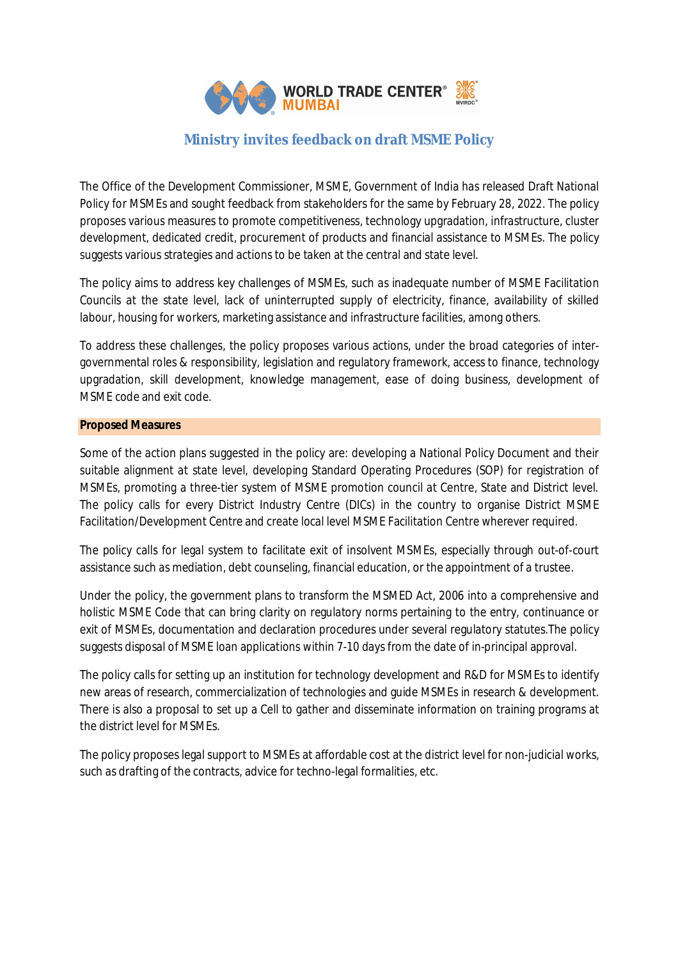

# **Ministry invites feedback on draft MSME Policy**

The Office of the Development Commissioner, MSME, Government of India has released Draft National Policy for MSMEs and sought feedback from stakeholders for the same by February 28, 2022. The policy proposes various measures to promote competitiveness, technology upgradation, infrastructure, cluster development, dedicated credit, procurement of products and financial assistance to MSMEs. The policy suggests various strategies and actions to be taken at the central and state level.

The policy aims to address key challenges of MSMEs, such as inadequate number of MSME Facilitation Councils at the state level, lack of uninterrupted supply of electricity, finance, availability of skilled labour, housing for workers, marketing assistance and infrastructure facilities, among others.

To address these challenges, the policy proposes various actions, under the broad categories of intergovernmental roles & responsibility, legislation and regulatory framework, access to finance, technology upgradation, skill development, knowledge management, ease of doing business, development of MSME code and exit code.

# **Proposed Measures**

Some of the action plans suggested in the policy are: developing a National Policy Document and their suitable alignment at state level, developing Standard Operating Procedures (SOP) for registration of MSMEs, promoting a three-tier system of MSME promotion council at Centre, State and District level. The policy calls for every District Industry Centre (DICs) in the country to organise District MSME Facilitation/Development Centre and create local level MSME Facilitation Centre wherever required.

The policy calls for legal system to facilitate exit of insolvent MSMEs, especially through out-of-court assistance such as mediation, debt counseling, financial education, or the appointment of a trustee.

Under the policy, the government plans to transform the MSMED Act, 2006 into a comprehensive and holistic MSME Code that can bring clarity on regulatory norms pertaining to the entry, continuance or exit of MSMEs, documentation and declaration procedures under several regulatory statutes.The policy suggests disposal of MSME loan applications within 7-10 days from the date of in-principal approval.

The policy calls for setting up an institution for technology development and R&D for MSMEs to identify new areas of research, commercialization of technologies and guide MSMEs in research & development. There is also a proposal to set up a Cell to gather and disseminate information on training programs at the district level for MSMEs.

The policy proposes legal support to MSMEs at affordable cost at the district level for non-judicial works, such as drafting of the contracts, advice for techno-legal formalities, etc.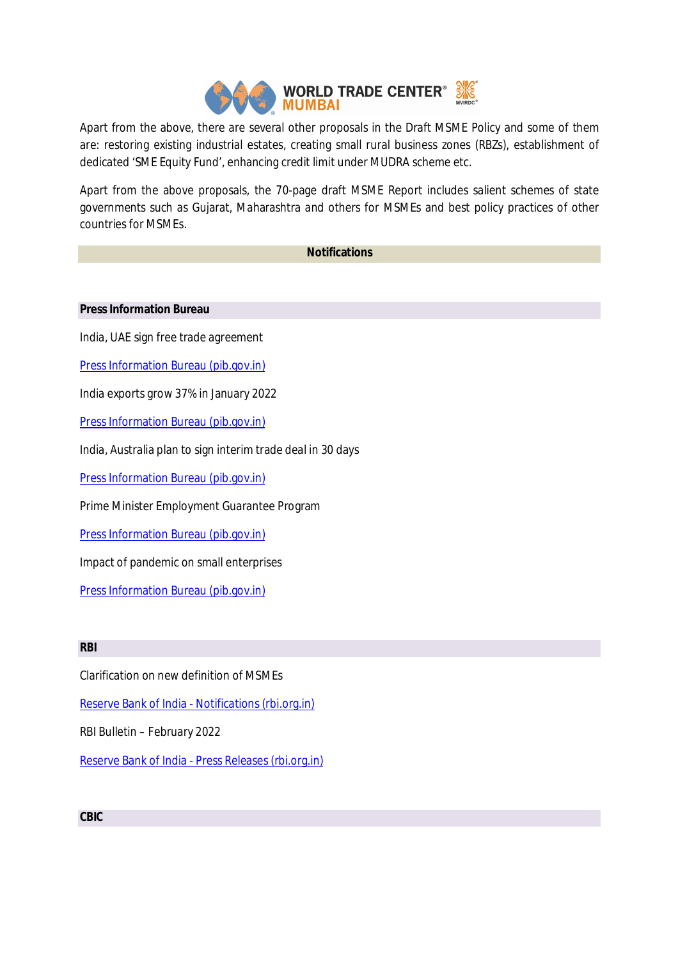

Apart from the above, there are several other proposals in the Draft MSME Policy and some of them are: restoring existing industrial estates, creating small rural business zones (RBZs), establishment of dedicated 'SME Equity Fund', enhancing credit limit under MUDRA scheme etc.

Apart from the above proposals, the 70-page draft MSME Report includes salient schemes of state governments such as Gujarat, Maharashtra and others for MSMEs and best policy practices of other countries for MSMEs.

# **Notifications**

#### **Press Information Bureau**

India, UAE sign free trade agreement

Press Information Bureau (pib.gov.in)

India exports grow 37% in January 2022

Press Information Bureau (pib.gov.in)

India, Australia plan to sign interim trade deal in 30 days

Press Information Bureau (pib.gov.in)

Prime Minister Employment Guarantee Program

Press Information Bureau (pib.gov.in)

Impact of pandemic on small enterprises

Press Information Bureau (pib.gov.in)

# **RBI**

Clarification on new definition of MSMEs

Reserve Bank of India - Notifications (rbi.org.in)

RBI Bulletin – February 2022

Reserve Bank of India - Press Releases (rbi.org.in)

# **CBIC**